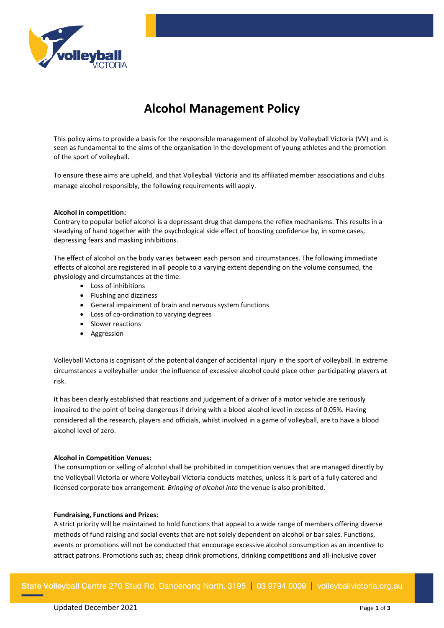

# **Alcohol Management Policy**

This policy aims to provide a basis for the responsible management of alcohol by Volleyball Victoria (VV) and is seen as fundamental to the aims of the organisation in the development of young athletes and the promotion of the sport of volleyball.

To ensure these aims are upheld, and that Volleyball Victoria and its affiliated member associations and clubs manage alcohol responsibly, the following requirements will apply.

## **Alcohol in competition:**

Contrary to popular belief alcohol is a depressant drug that dampens the reflex mechanisms. This results in a steadying of hand together with the psychological side effect of boosting confidence by, in some cases, depressing fears and masking inhibitions.

The effect of alcohol on the body varies between each person and circumstances. The following immediate effects of alcohol are registered in all people to a varying extent depending on the volume consumed, the physiology and circumstances at the time:

- Loss of inhibitions
- Flushing and dizziness
- General impairment of brain and nervous system functions
- Loss of co-ordination to varying degrees
- Slower reactions
- Aggression

Volleyball Victoria is cognisant of the potential danger of accidental injury in the sport of volleyball. In extreme circumstances a volleyballer under the influence of excessive alcohol could place other participating players at risk.

It has been clearly established that reactions and judgement of a driver of a motor vehicle are seriously impaired to the point of being dangerous if driving with a blood alcohol level in excess of 0.05%. Having considered all the research, players and officials, whilst involved in a game of volleyball, are to have a blood alcohol level of zero.

## **Alcohol in Competition Venues:**

The consumption or selling of alcohol shall be prohibited in competition venues that are managed directly by the Volleyball Victoria or where Volleyball Victoria conducts matches, unless it is part of a fully catered and licensed corporate box arrangement. *Bringing of alcohol into* the venue is also prohibited.

## **Fundraising, Functions and Prizes:**

A strict priority will be maintained to hold functions that appeal to a wide range of members offering diverse methods of fund raising and social events that are not solely dependent on alcohol or bar sales. Functions, events or promotions will not be conducted that encourage excessive alcohol consumption as an incentive to attract patrons. Promotions such as; cheap drink promotions, drinking competitions and all-inclusive cover

State Volleyball Centre 270 Stud Rd, Dandenong North, 3195 | 03 9794 0009 | volleyballvictoria.org.au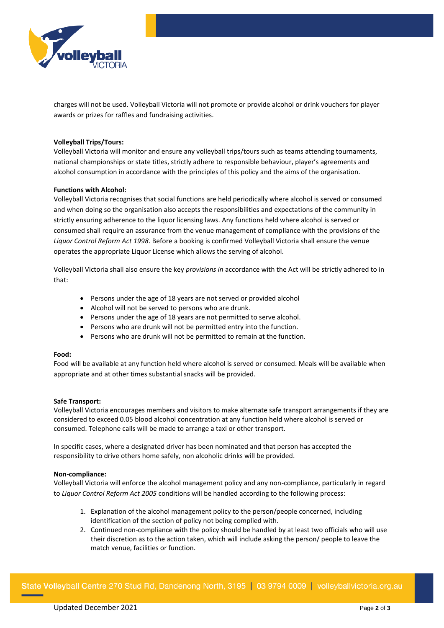

charges will not be used. Volleyball Victoria will not promote or provide alcohol or drink vouchers for player awards or prizes for raffles and fundraising activities.

## **Volleyball Trips/Tours:**

Volleyball Victoria will monitor and ensure any volleyball trips/tours such as teams attending tournaments, national championships or state titles, strictly adhere to responsible behaviour, player's agreements and alcohol consumption in accordance with the principles of this policy and the aims of the organisation.

## **Functions with Alcohol:**

Volleyball Victoria recognises that social functions are held periodically where alcohol is served or consumed and when doing so the organisation also accepts the responsibilities and expectations of the community in strictly ensuring adherence to the liquor licensing laws. Any functions held where alcohol is served or consumed shall require an assurance from the venue management of compliance with the provisions of the *Liquor Control Reform Act 1998*. Before a booking is confirmed Volleyball Victoria shall ensure the venue operates the appropriate Liquor License which allows the serving of alcohol.

Volleyball Victoria shall also ensure the key *provisions in* accordance with the Act will be strictly adhered to in that:

- Persons under the age of 18 years are not served or provided alcohol
- Alcohol will not be served to persons who are drunk.
- Persons under the age of 18 years are not permitted to serve alcohol.
- Persons who are drunk will not be permitted entry into the function.
- Persons who are drunk will not be permitted to remain at the function.

## **Food:**

Food will be available at any function held where alcohol is served or consumed. Meals will be available when appropriate and at other times substantial snacks will be provided.

## **Safe Transport:**

Volleyball Victoria encourages members and visitors to make alternate safe transport arrangements if they are considered to exceed 0.05 blood alcohol concentration at any function held where alcohol is served or consumed. Telephone calls will be made to arrange a taxi or other transport.

In specific cases, where a designated driver has been nominated and that person has accepted the responsibility to drive others home safely, non alcoholic drinks will be provided.

## **Non-compliance:**

Volleyball Victoria will enforce the alcohol management policy and any non-compliance, particularly in regard to *Liquor Control Reform Act 2005* conditions will be handled according to the following process:

- 1. Explanation of the alcohol management policy to the person/people concerned, including identification of the section of policy not being complied with.
- 2. Continued non-compliance with the policy should be handled by at least two officials who will use their discretion as to the action taken, which will include asking the person/ people to leave the match venue, facilities or function.

State Volleyball Centre 270 Stud Rd, Dandenong North, 3195 | 03 9794 0009 | volleyballvictoria.org.au